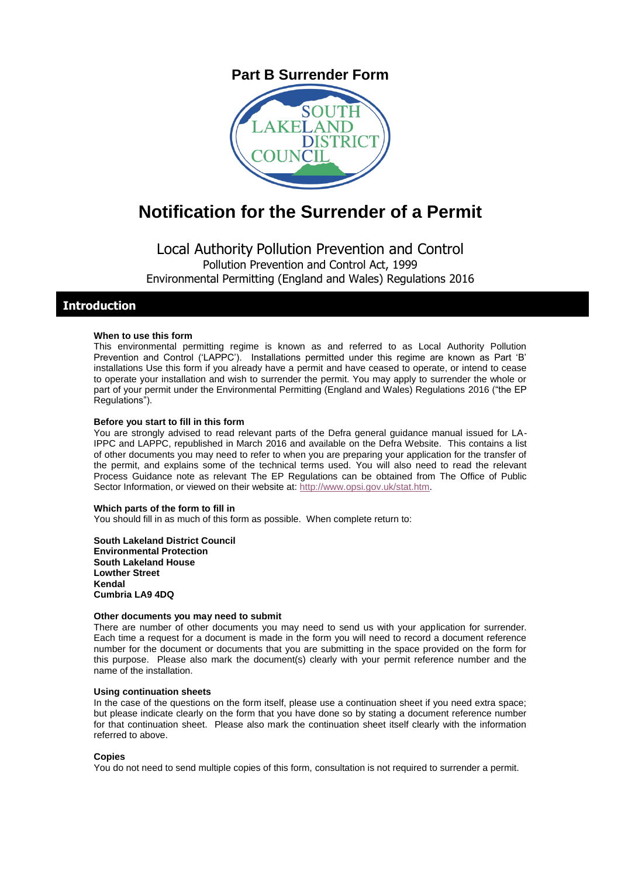# **Part B Surrender Form**



# **Notification for the Surrender of a Permit**

Local Authority Pollution Prevention and Control Pollution Prevention and Control Act, 1999 Environmental Permitting (England and Wales) Regulations 2016

## **Introduction**

#### **When to use this form**

This environmental permitting regime is known as and referred to as Local Authority Pollution Prevention and Control ('LAPPC'). Installations permitted under this regime are known as Part 'B' installations Use this form if you already have a permit and have ceased to operate, or intend to cease to operate your installation and wish to surrender the permit. You may apply to surrender the whole or part of your permit under the Environmental Permitting (England and Wales) Regulations 2016 ("the EP Regulations").

#### **Before you start to fill in this form**

You are strongly advised to read relevant parts of the Defra general guidance manual issued for LA-IPPC and LAPPC, republished in March 2016 and available on the Defra Website. This contains a list of other documents you may need to refer to when you are preparing your application for the transfer of the permit, and explains some of the technical terms used. You will also need to read the relevant Process Guidance note as relevant The EP Regulations can be obtained from The Office of Public Sector Information, or viewed on their website at[: http://www.opsi.gov.uk/stat.htm.](http://www.opsi.gov.uk/stat.htm)

#### **Which parts of the form to fill in**

You should fill in as much of this form as possible. When complete return to:

**South Lakeland District Council Environmental Protection South Lakeland House Lowther Street Kendal Cumbria LA9 4DQ**

#### **Other documents you may need to submit**

There are number of other documents you may need to send us with your application for surrender. Each time a request for a document is made in the form you will need to record a document reference number for the document or documents that you are submitting in the space provided on the form for this purpose. Please also mark the document(s) clearly with your permit reference number and the name of the installation.

#### **Using continuation sheets**

In the case of the questions on the form itself, please use a continuation sheet if you need extra space; but please indicate clearly on the form that you have done so by stating a document reference number for that continuation sheet. Please also mark the continuation sheet itself clearly with the information referred to above.

#### **Copies**

You do not need to send multiple copies of this form, consultation is not required to surrender a permit.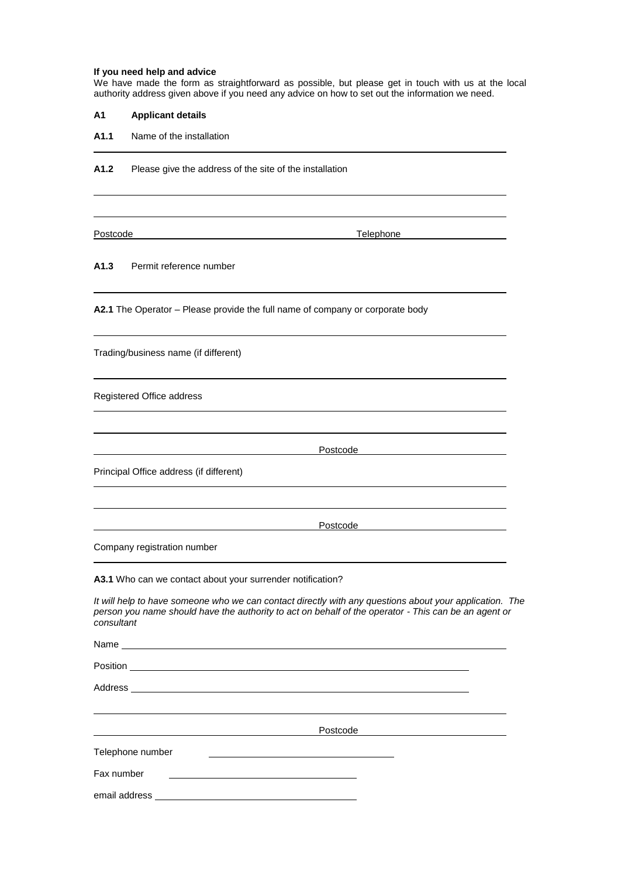#### **If you need help and advice**

We have made the form as straightforward as possible, but please get in touch with us at the local authority address given above if you need any advice on how to set out the information we need.

| Α1 | <b>Applicant details</b> |  |
|----|--------------------------|--|
|    |                          |  |

**A1.1** Name of the installation

**A1.2** Please give the address of the site of the installation

Postcode Telephone

#### **A1.3** Permit reference number

**A2.1** The Operator – Please provide the full name of company or corporate body

Trading/business name (if different)

Registered Office address

**Postcode** 

Principal Office address (if different)

Postcode

Company registration number

**A3.1** Who can we contact about your surrender notification?

*It will help to have someone who we can contact directly with any questions about your application. The person you name should have the authority to act on behalf of the operator - This can be an agent or consultant*

Name

Position

Address \_\_

Postcode

| Telephone number |  |
|------------------|--|
|------------------|--|

Fax number

email address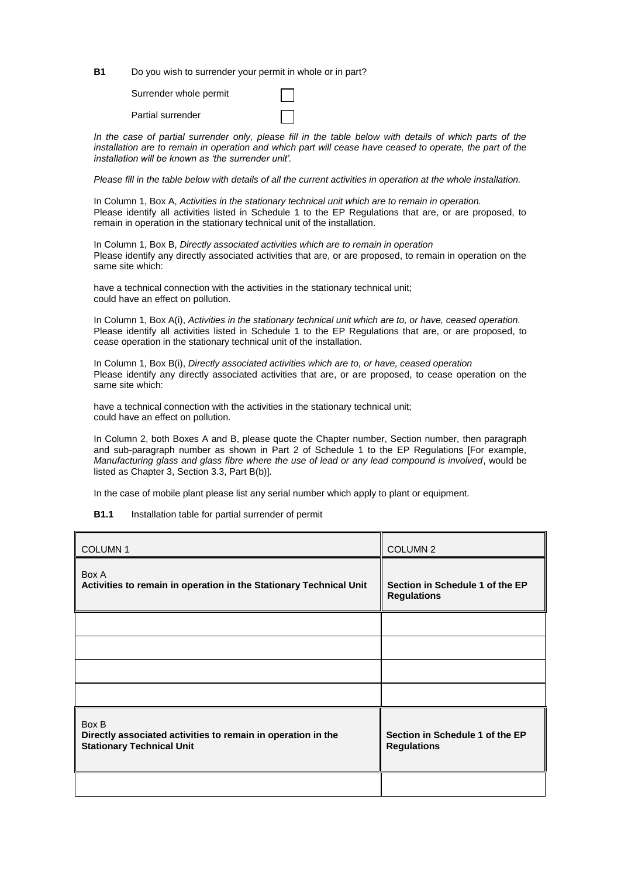**B1** Do you wish to surrender your permit in whole or in part?

Surrender whole permit

Partial surrender

*In the case of partial surrender only, please fill in the table below with details of which parts of the installation are to remain in operation and which part will cease have ceased to operate, the part of the installation will be known as 'the surrender unit'.*

*Please fill in the table below with details of all the current activities in operation at the whole installation.*

In Column 1, Box A, *Activities in the stationary technical unit which are to remain in operation.*  Please identify all activities listed in Schedule 1 to the EP Regulations that are, or are proposed, to remain in operation in the stationary technical unit of the installation.

In Column 1, Box B, *Directly associated activities which are to remain in operation* Please identify any directly associated activities that are, or are proposed, to remain in operation on the same site which:

have a technical connection with the activities in the stationary technical unit; could have an effect on pollution.

In Column 1, Box A(i), *Activities in the stationary technical unit which are to, or have, ceased operation.* Please identify all activities listed in Schedule 1 to the EP Regulations that are, or are proposed, to cease operation in the stationary technical unit of the installation.

In Column 1, Box B(i), *Directly associated activities which are to, or have, ceased operation* Please identify any directly associated activities that are, or are proposed, to cease operation on the same site which:

have a technical connection with the activities in the stationary technical unit; could have an effect on pollution.

In Column 2, both Boxes A and B, please quote the Chapter number, Section number, then paragraph and sub-paragraph number as shown in Part 2 of Schedule 1 to the EP Regulations [For example, *Manufacturing glass and glass fibre where the use of lead or any lead compound is involved*, would be listed as Chapter 3, Section 3.3, Part B(b)]*.*

In the case of mobile plant please list any serial number which apply to plant or equipment.

**B1.1** Installation table for partial surrender of permit

| <b>COLUMN1</b>                                                                                            | COLUMN <sub>2</sub>                                   |
|-----------------------------------------------------------------------------------------------------------|-------------------------------------------------------|
| Box A<br>Activities to remain in operation in the Stationary Technical Unit                               | Section in Schedule 1 of the EP<br><b>Regulations</b> |
|                                                                                                           |                                                       |
|                                                                                                           |                                                       |
|                                                                                                           |                                                       |
|                                                                                                           |                                                       |
| Box B<br>Directly associated activities to remain in operation in the<br><b>Stationary Technical Unit</b> | Section in Schedule 1 of the EP<br><b>Regulations</b> |
|                                                                                                           |                                                       |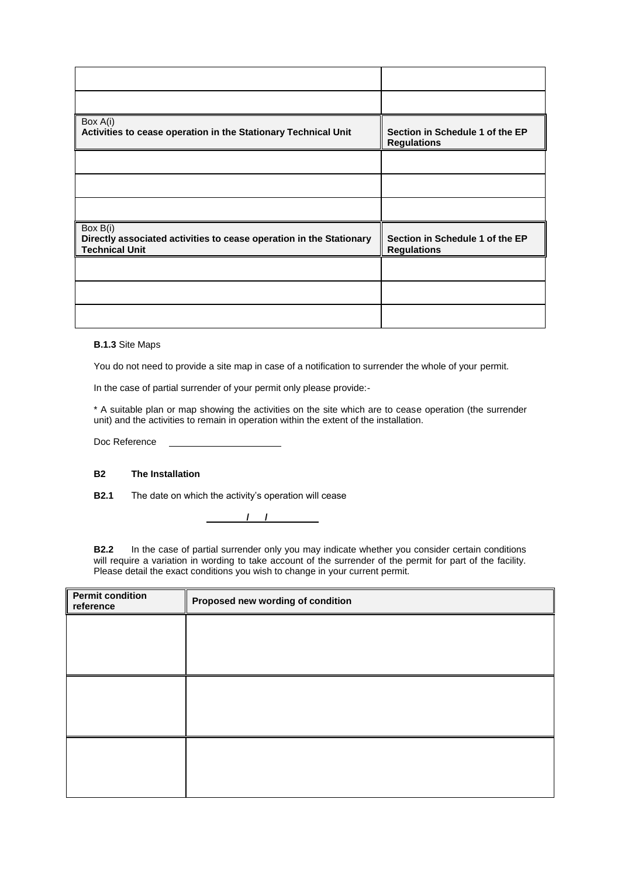| Box A(i)<br>Activities to cease operation in the Stationary Technical Unit                               | Section in Schedule 1 of the EP<br><b>Regulations</b> |
|----------------------------------------------------------------------------------------------------------|-------------------------------------------------------|
|                                                                                                          |                                                       |
|                                                                                                          |                                                       |
|                                                                                                          |                                                       |
| Box B(i)<br>Directly associated activities to cease operation in the Stationary<br><b>Technical Unit</b> | Section in Schedule 1 of the EP<br><b>Regulations</b> |
|                                                                                                          |                                                       |
|                                                                                                          |                                                       |
|                                                                                                          |                                                       |

**B.1.3** Site Maps

You do not need to provide a site map in case of a notification to surrender the whole of your permit.

In the case of partial surrender of your permit only please provide:-

\* A suitable plan or map showing the activities on the site which are to cease operation (the surrender unit) and the activities to remain in operation within the extent of the installation.

Doc Reference

### **B2 The Installation**

**B2.1** The date on which the activity's operation will cease

**/ /** 

**B2.2** In the case of partial surrender only you may indicate whether you consider certain conditions will require a variation in wording to take account of the surrender of the permit for part of the facility. Please detail the exact conditions you wish to change in your current permit.

| <b>Permit condition</b><br>reference | Proposed new wording of condition |
|--------------------------------------|-----------------------------------|
|                                      |                                   |
|                                      |                                   |
|                                      |                                   |
|                                      |                                   |
|                                      |                                   |
|                                      |                                   |
|                                      |                                   |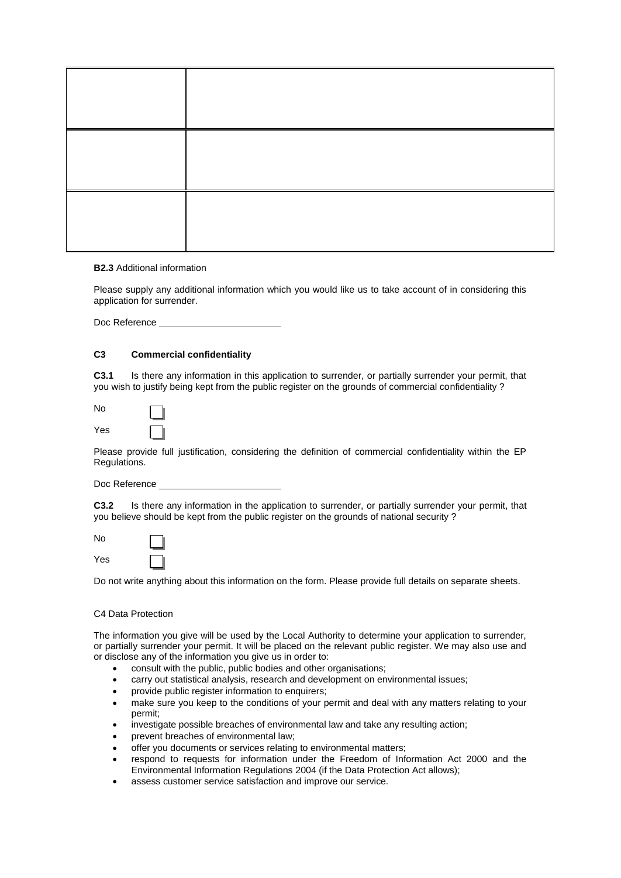#### **B2.3** Additional information

Please supply any additional information which you would like us to take account of in considering this application for surrender.

Doc Reference

#### **C3 Commercial confidentiality**

**C3.1** Is there any information in this application to surrender, or partially surrender your permit, that you wish to justify being kept from the public register on the grounds of commercial confidentiality ?

| No  |  |
|-----|--|
| Yes |  |

Please provide full justification, considering the definition of commercial confidentiality within the EP Regulations.

Doc Reference

**C3.2** Is there any information in the application to surrender, or partially surrender your permit, that you believe should be kept from the public register on the grounds of national security ?

No



Do not write anything about this information on the form. Please provide full details on separate sheets.

#### C4 Data Protection

The information you give will be used by the Local Authority to determine your application to surrender, or partially surrender your permit. It will be placed on the relevant public register. We may also use and or disclose any of the information you give us in order to:

- consult with the public, public bodies and other organisations;
- carry out statistical analysis, research and development on environmental issues;
- provide public register information to enquirers;
- make sure you keep to the conditions of your permit and deal with any matters relating to your permit;
- investigate possible breaches of environmental law and take any resulting action;
- prevent breaches of environmental law;
- offer you documents or services relating to environmental matters;
- respond to requests for information under the Freedom of Information Act 2000 and the Environmental Information Regulations 2004 (if the Data Protection Act allows);
- assess customer service satisfaction and improve our service.